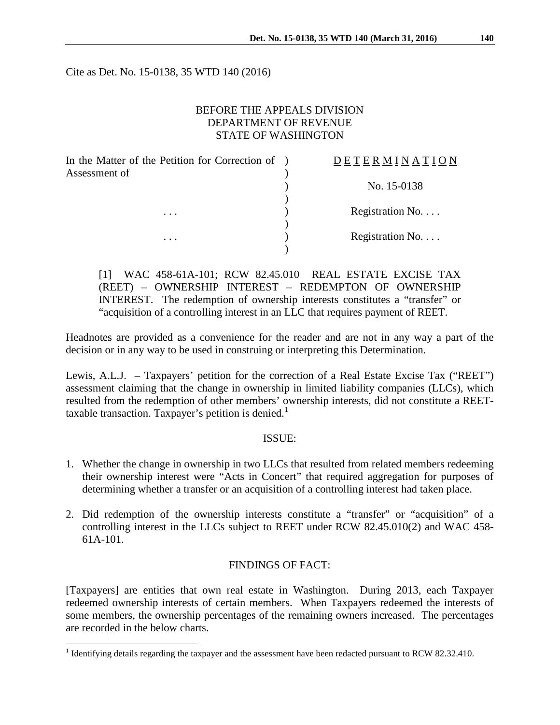Cite as Det. No. 15-0138, 35 WTD 140 (2016)

## BEFORE THE APPEALS DIVISION DEPARTMENT OF REVENUE STATE OF WASHINGTON

| In the Matter of the Petition for Correction of<br>Assessment of | DETERMINATION   |
|------------------------------------------------------------------|-----------------|
|                                                                  | No. 15-0138     |
| $\cdots$                                                         | Registration No |
| .                                                                | Registration No |

[1] WAC 458-61A-101; RCW 82.45.010 REAL ESTATE EXCISE TAX (REET) – OWNERSHIP INTEREST – REDEMPTON OF OWNERSHIP INTEREST. The redemption of ownership interests constitutes a "transfer" or "acquisition of a controlling interest in an LLC that requires payment of REET.

Headnotes are provided as a convenience for the reader and are not in any way a part of the decision or in any way to be used in construing or interpreting this Determination.

Lewis, A.L.J. – Taxpayers' petition for the correction of a Real Estate Excise Tax ("REET") assessment claiming that the change in ownership in limited liability companies (LLCs), which resulted from the redemption of other members' ownership interests, did not constitute a REET-taxable transaction. Taxpayer's petition is denied.<sup>[1](#page-0-0)</sup>

## ISSUE:

- 1. Whether the change in ownership in two LLCs that resulted from related members redeeming their ownership interest were "Acts in Concert" that required aggregation for purposes of determining whether a transfer or an acquisition of a controlling interest had taken place.
- 2. Did redemption of the ownership interests constitute a "transfer" or "acquisition" of a controlling interest in the LLCs subject to REET under RCW 82.45.010(2) and WAC 458- 61A-101.

## FINDINGS OF FACT:

[Taxpayers] are entities that own real estate in Washington. During 2013, each Taxpayer redeemed ownership interests of certain members. When Taxpayers redeemed the interests of some members, the ownership percentages of the remaining owners increased. The percentages are recorded in the below charts.

<span id="page-0-0"></span><sup>&</sup>lt;sup>1</sup> Identifying details regarding the taxpayer and the assessment have been redacted pursuant to RCW 82.32.410.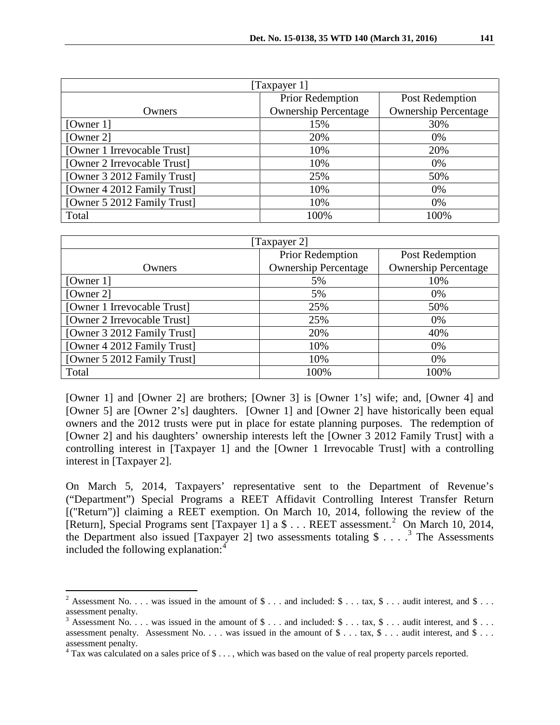| [Taxpayer 1]                |                             |                             |  |  |
|-----------------------------|-----------------------------|-----------------------------|--|--|
|                             | Prior Redemption            | Post Redemption             |  |  |
| Owners                      | <b>Ownership Percentage</b> | <b>Ownership Percentage</b> |  |  |
| [Owner $1$ ]                | 15%                         | 30%                         |  |  |
| [Owner 2]                   | 20%                         | 0%                          |  |  |
| [Owner 1 Irrevocable Trust] | 10%                         | 20%                         |  |  |
| [Owner 2 Irrevocable Trust] | 10%                         | 0%                          |  |  |
| [Owner 3 2012 Family Trust] | 25%                         | 50%                         |  |  |
| [Owner 4 2012 Family Trust] | 10%                         | 0%                          |  |  |
| [Owner 5 2012 Family Trust] | 10%                         | 0%                          |  |  |
| Total                       | 100%                        | 100%                        |  |  |

| [Taxpayer 2]                |                             |                             |  |
|-----------------------------|-----------------------------|-----------------------------|--|
|                             | Prior Redemption            | Post Redemption             |  |
| Owners                      | <b>Ownership Percentage</b> | <b>Ownership Percentage</b> |  |
| [Owner $1$ ]                | 5%                          | 10%                         |  |
| [Owner 2]                   | 5%                          | 0%                          |  |
| [Owner 1 Irrevocable Trust] | 25%                         | 50%                         |  |
| [Owner 2 Irrevocable Trust] | 25%                         | 0%                          |  |
| [Owner 3 2012 Family Trust] | 20%                         | 40%                         |  |
| [Owner 4 2012 Family Trust] | 10%                         | 0%                          |  |
| [Owner 5 2012 Family Trust] | 10%                         | 0%                          |  |
| Total                       | 100%                        | 100%                        |  |

[Owner 1] and [Owner 2] are brothers; [Owner 3] is [Owner 1's] wife; and, [Owner 4] and [Owner 5] are [Owner 2's] daughters. [Owner 1] and [Owner 2] have historically been equal owners and the 2012 trusts were put in place for estate planning purposes. The redemption of [Owner 2] and his daughters' ownership interests left the [Owner 3 2012 Family Trust] with a controlling interest in [Taxpayer 1] and the [Owner 1 Irrevocable Trust] with a controlling interest in [Taxpayer 2].

On March 5, 2014, Taxpayers' representative sent to the Department of Revenue's ("Department") Special Programs a REET Affidavit Controlling Interest Transfer Return [("Return")] claiming a REET exemption. On March 10, 2014, following the review of the [Return], Special Programs sent [Taxpayer 1] a \$ . . . REET assessment.<sup>[2](#page-1-0)</sup> On March 10, 2014, the Department also issued [Taxpayer 2] two assessments totaling  $\$\ldots$  . <sup>[3](#page-1-1)</sup> The Assessments included the following explanation:[4](#page-1-2)

<span id="page-1-0"></span><sup>&</sup>lt;sup>2</sup> Assessment No. . . . was issued in the amount of  $\$\dots$  and included:  $\$\dots$  tax,  $\$\dots$  audit interest, and  $\$\dots$ assessment penalty.

<span id="page-1-1"></span><sup>&</sup>lt;sup>3</sup> Assessment No. . . was issued in the amount of  $\$\dots$  and included:  $\$\dots$  tax,  $\$\dots$  audit interest, and  $\$\dots$ assessment penalty. Assessment No. . . . was issued in the amount of  $\hat{\mathcal{S}}$ ... tax,  $\hat{\mathcal{S}}$ ... audit interest, and  $\hat{\mathcal{S}}$ ... assessment penalty.

<span id="page-1-2"></span><sup>4</sup> Tax was calculated on a sales price of \$ . . . , which was based on the value of real property parcels reported.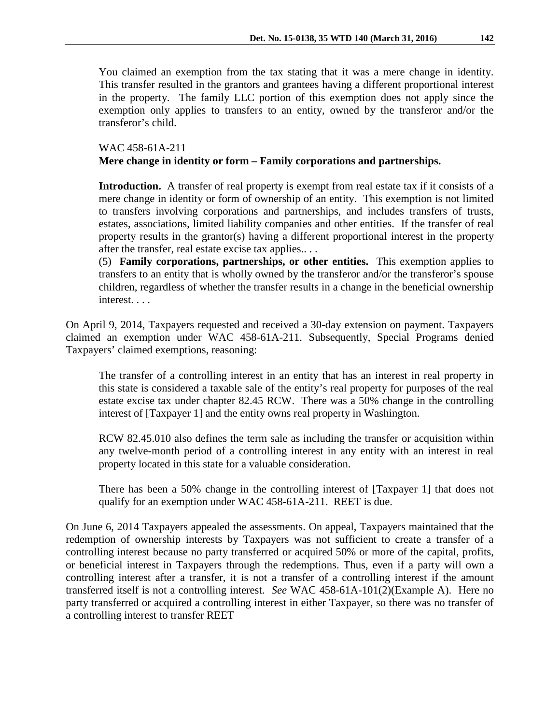You claimed an exemption from the tax stating that it was a mere change in identity. This transfer resulted in the grantors and grantees having a different proportional interest in the property. The family LLC portion of this exemption does not apply since the exemption only applies to transfers to an entity, owned by the transferor and/or the transferor's child.

# WAC 458-61A-211 **Mere change in identity or form – Family corporations and partnerships.**

Introduction. A transfer of real property is exempt from real estate tax if it consists of a mere change in identity or form of ownership of an entity. This exemption is not limited to transfers involving corporations and partnerships, and includes transfers of trusts, estates, associations, limited liability companies and other entities. If the transfer of real property results in the grantor(s) having a different proportional interest in the property after the transfer, real estate excise tax applies.. . .

(5) **Family corporations, partnerships, or other entities.** This exemption applies to transfers to an entity that is wholly owned by the transferor and/or the transferor's spouse children, regardless of whether the transfer results in a change in the beneficial ownership interest. . . .

On April 9, 2014, Taxpayers requested and received a 30-day extension on payment. Taxpayers claimed an exemption under WAC 458-61A-211. Subsequently, Special Programs denied Taxpayers' claimed exemptions, reasoning:

The transfer of a controlling interest in an entity that has an interest in real property in this state is considered a taxable sale of the entity's real property for purposes of the real estate excise tax under chapter 82.45 RCW. There was a 50% change in the controlling interest of [Taxpayer 1] and the entity owns real property in Washington.

RCW 82.45.010 also defines the term sale as including the transfer or acquisition within any twelve-month period of a controlling interest in any entity with an interest in real property located in this state for a valuable consideration.

There has been a 50% change in the controlling interest of [Taxpayer 1] that does not qualify for an exemption under WAC 458-61A-211. REET is due.

On June 6, 2014 Taxpayers appealed the assessments. On appeal, Taxpayers maintained that the redemption of ownership interests by Taxpayers was not sufficient to create a transfer of a controlling interest because no party transferred or acquired 50% or more of the capital, profits, or beneficial interest in Taxpayers through the redemptions. Thus, even if a party will own a controlling interest after a transfer, it is not a transfer of a controlling interest if the amount transferred itself is not a controlling interest. *See* WAC 458-61A-101(2)(Example A). Here no party transferred or acquired a controlling interest in either Taxpayer, so there was no transfer of a controlling interest to transfer REET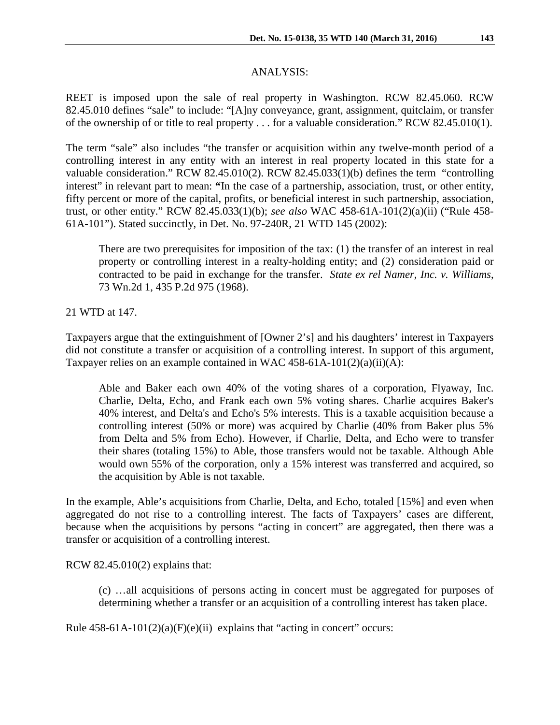## ANALYSIS:

REET is imposed upon the sale of real property in Washington. RCW 82.45.060. RCW 82.45.010 defines "sale" to include: "[A]ny conveyance, grant, assignment, quitclaim, or transfer of the ownership of or title to real property . . . for a valuable consideration." RCW 82.45.010(1).

The term "sale" also includes "the transfer or acquisition within any twelve-month period of a controlling interest in any entity with an interest in real property located in this state for a valuable consideration." RCW 82.45.010(2). RCW 82.45.033(1)(b) defines the term "controlling interest" in relevant part to mean: **"**In the case of a partnership, association, trust, or other entity, fifty percent or more of the capital, profits, or beneficial interest in such partnership, association, trust, or other entity." RCW 82.45.033(1)(b); *see also* WAC 458-61A-101(2)(a)(ii) ("Rule 458- 61A-101"). Stated succinctly, in Det. No. 97-240R, 21 WTD 145 (2002):

There are two prerequisites for imposition of the tax: (1) the transfer of an interest in real property or controlling interest in a realty-holding entity; and (2) consideration paid or contracted to be paid in exchange for the transfer. *State ex rel Namer, Inc. v. Williams*, 73 Wn.2d 1, 435 P.2d 975 (1968).

21 WTD at 147.

Taxpayers argue that the extinguishment of [Owner 2's] and his daughters' interest in Taxpayers did not constitute a transfer or acquisition of a controlling interest. In support of this argument, Taxpayer relies on an example contained in WAC 458-61A-101(2)(a)(ii)(A):

Able and Baker each own 40% of the voting shares of a corporation, Flyaway, Inc. Charlie, Delta, Echo, and Frank each own 5% voting shares. Charlie acquires Baker's 40% interest, and Delta's and Echo's 5% interests. This is a taxable acquisition because a controlling interest (50% or more) was acquired by Charlie (40% from Baker plus 5% from Delta and 5% from Echo). However, if Charlie, Delta, and Echo were to transfer their shares (totaling 15%) to Able, those transfers would not be taxable. Although Able would own 55% of the corporation, only a 15% interest was transferred and acquired, so the acquisition by Able is not taxable.

In the example, Able's acquisitions from Charlie, Delta, and Echo, totaled [15%] and even when aggregated do not rise to a controlling interest. The facts of Taxpayers' cases are different, because when the acquisitions by persons "acting in concert" are aggregated, then there was a transfer or acquisition of a controlling interest.

RCW 82.45.010(2) explains that:

(c) …all acquisitions of persons acting in concert must be aggregated for purposes of determining whether a transfer or an acquisition of a controlling interest has taken place.

Rule  $458-61A-101(2)(a)(F)(e)(ii)$  explains that "acting in concert" occurs: